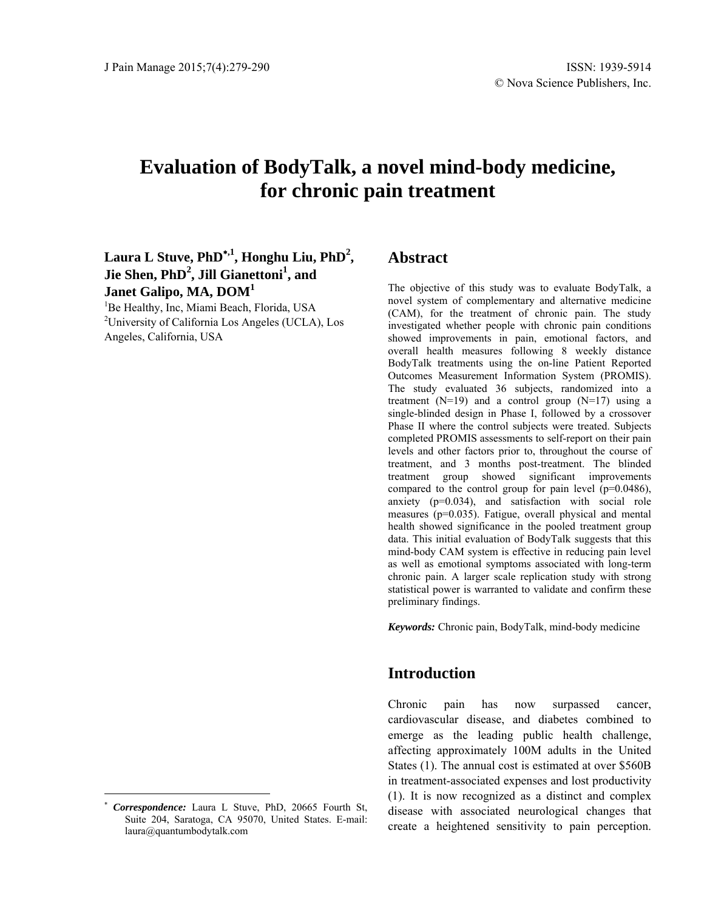# **Evaluation of BodyTalk, a novel mind-body medicine, for chronic pain treatment**

Laura L Stuve, PhD<sup>\*,1</sup>, Honghu Liu, PhD<sup>2</sup>,  $\text{Jie Shen}, \text{PhD}^2, \text{Jill Gianettoni}^1, \text{and}$ **Janet Galipo, MA, DOM<sup>1</sup>**

<sup>1</sup>Be Healthy, Inc, Miami Beach, Florida, USA<br><sup>2</sup>University of Colifornia Los Angeles (UCLA) <sup>2</sup>University of California Los Angeles (UCLA), Los Angeles, California, USA

### **Abstract**

The objective of this study was to evaluate BodyTalk, a novel system of complementary and alternative medicine (CAM), for the treatment of chronic pain. The study investigated whether people with chronic pain conditions showed improvements in pain, emotional factors, and overall health measures following 8 weekly distance BodyTalk treatments using the on-line Patient Reported Outcomes Measurement Information System (PROMIS). The study evaluated 36 subjects, randomized into a treatment  $(N=19)$  and a control group  $(N=17)$  using a single-blinded design in Phase I, followed by a crossover Phase II where the control subjects were treated. Subjects completed PROMIS assessments to self-report on their pain levels and other factors prior to, throughout the course of treatment, and 3 months post-treatment. The blinded treatment group showed significant improvements compared to the control group for pain level (p=0.0486), anxiety (p=0.034), and satisfaction with social role measures (p=0.035). Fatigue, overall physical and mental health showed significance in the pooled treatment group data. This initial evaluation of BodyTalk suggests that this mind-body CAM system is effective in reducing pain level as well as emotional symptoms associated with long-term chronic pain. A larger scale replication study with strong statistical power is warranted to validate and confirm these preliminary findings.

*Keywords:* Chronic pain, BodyTalk, mind-body medicine

### **Introduction**

Chronic pain has now surpassed cancer, cardiovascular disease, and diabetes combined to emerge as the leading public health challenge, affecting approximately 100M adults in the United States (1). The annual cost is estimated at over \$560B in treatment-associated expenses and lost productivity (1). It is now recognized as a distinct and complex disease with associated neurological changes that create a heightened sensitivity to pain perception.

 $\overline{a}$ 

*Correspondence:* Laura L Stuve, PhD, 20665 Fourth St, Suite 204, Saratoga, CA 95070, United States. E-mail: laura@quantumbodytalk.com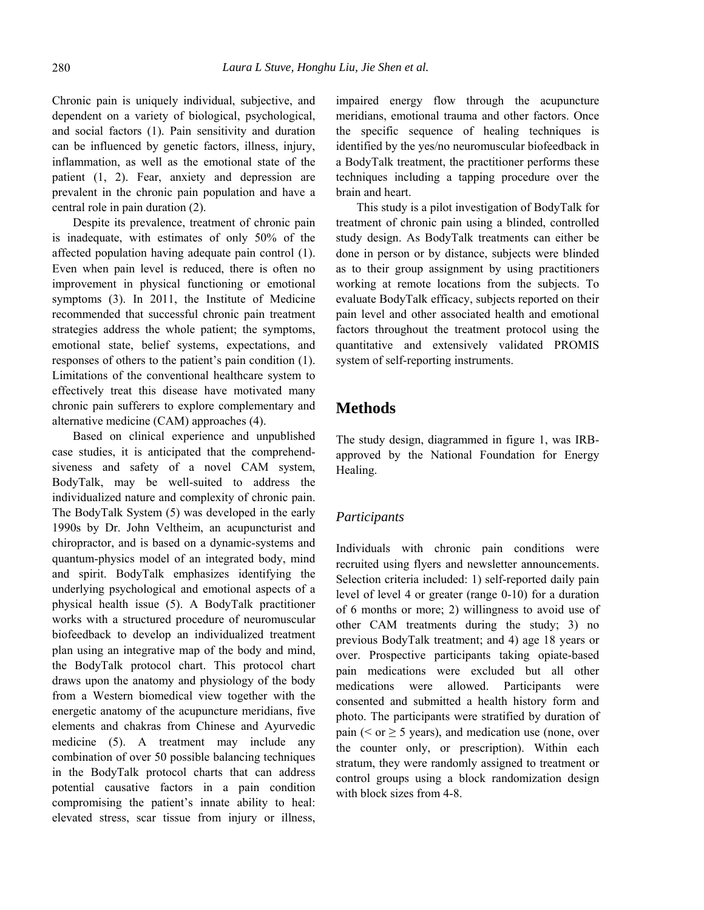Chronic pain is uniquely individual, subjective, and dependent on a variety of biological, psychological, and social factors (1). Pain sensitivity and duration can be influenced by genetic factors, illness, injury, inflammation, as well as the emotional state of the patient (1, 2). Fear, anxiety and depression are prevalent in the chronic pain population and have a central role in pain duration (2).

Despite its prevalence, treatment of chronic pain is inadequate, with estimates of only 50% of the affected population having adequate pain control (1). Even when pain level is reduced, there is often no improvement in physical functioning or emotional symptoms (3). In 2011, the Institute of Medicine recommended that successful chronic pain treatment strategies address the whole patient; the symptoms, emotional state, belief systems, expectations, and responses of others to the patient's pain condition (1). Limitations of the conventional healthcare system to effectively treat this disease have motivated many chronic pain sufferers to explore complementary and alternative medicine (CAM) approaches (4).

Based on clinical experience and unpublished case studies, it is anticipated that the comprehendsiveness and safety of a novel CAM system, BodyTalk, may be well-suited to address the individualized nature and complexity of chronic pain. The BodyTalk System (5) was developed in the early 1990s by Dr. John Veltheim, an acupuncturist and chiropractor, and is based on a dynamic-systems and quantum-physics model of an integrated body, mind and spirit. BodyTalk emphasizes identifying the underlying psychological and emotional aspects of a physical health issue (5). A BodyTalk practitioner works with a structured procedure of neuromuscular biofeedback to develop an individualized treatment plan using an integrative map of the body and mind, the BodyTalk protocol chart. This protocol chart draws upon the anatomy and physiology of the body from a Western biomedical view together with the energetic anatomy of the acupuncture meridians, five elements and chakras from Chinese and Ayurvedic medicine (5). A treatment may include any combination of over 50 possible balancing techniques in the BodyTalk protocol charts that can address potential causative factors in a pain condition compromising the patient's innate ability to heal: elevated stress, scar tissue from injury or illness,

impaired energy flow through the acupuncture meridians, emotional trauma and other factors. Once the specific sequence of healing techniques is identified by the yes/no neuromuscular biofeedback in a BodyTalk treatment, the practitioner performs these techniques including a tapping procedure over the brain and heart.

This study is a pilot investigation of BodyTalk for treatment of chronic pain using a blinded, controlled study design. As BodyTalk treatments can either be done in person or by distance, subjects were blinded as to their group assignment by using practitioners working at remote locations from the subjects. To evaluate BodyTalk efficacy, subjects reported on their pain level and other associated health and emotional factors throughout the treatment protocol using the quantitative and extensively validated PROMIS system of self-reporting instruments.

### **Methods**

The study design, diagrammed in figure 1, was IRBapproved by the National Foundation for Energy Healing.

#### *Participants*

Individuals with chronic pain conditions were recruited using flyers and newsletter announcements. Selection criteria included: 1) self-reported daily pain level of level 4 or greater (range 0-10) for a duration of 6 months or more; 2) willingness to avoid use of other CAM treatments during the study; 3) no previous BodyTalk treatment; and 4) age 18 years or over. Prospective participants taking opiate-based pain medications were excluded but all other medications were allowed. Participants were consented and submitted a health history form and photo. The participants were stratified by duration of pain ( $\le$  or  $\ge$  5 years), and medication use (none, over the counter only, or prescription). Within each stratum, they were randomly assigned to treatment or control groups using a block randomization design with block sizes from 4-8.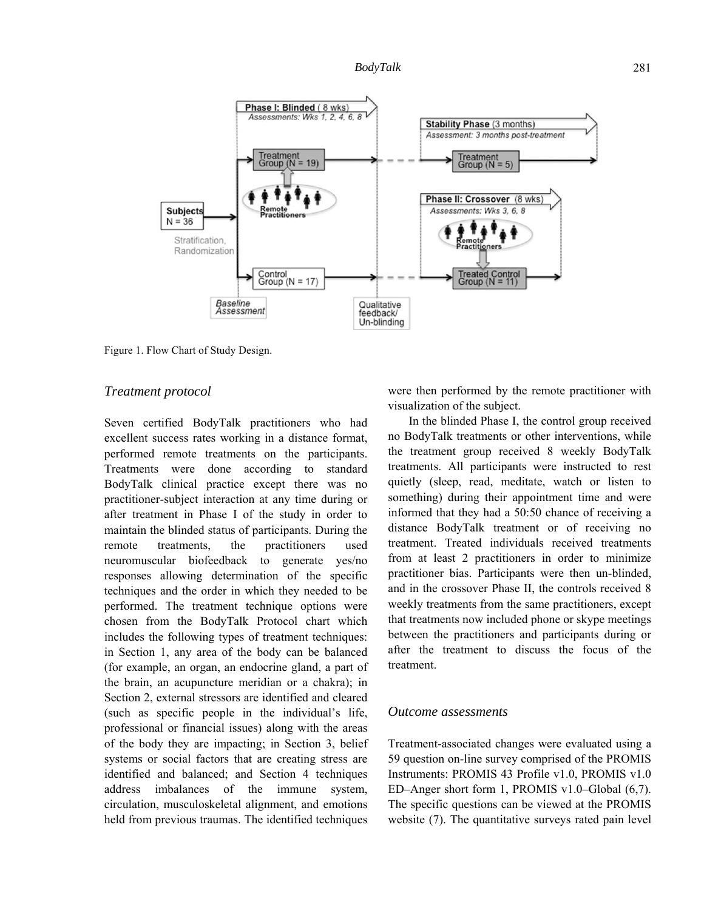

Figure 1. Flow Chart of Study Design.

#### *Treatment protocol*

Seven certified BodyTalk practitioners who had excellent success rates working in a distance format, performed remote treatments on the participants. Treatments were done according to standard BodyTalk clinical practice except there was no practitioner-subject interaction at any time during or after treatment in Phase I of the study in order to maintain the blinded status of participants. During the remote treatments, the practitioners used neuromuscular biofeedback to generate yes/no responses allowing determination of the specific techniques and the order in which they needed to be performed. The treatment technique options were chosen from the BodyTalk Protocol chart which includes the following types of treatment techniques: in Section 1, any area of the body can be balanced (for example, an organ, an endocrine gland, a part of the brain, an acupuncture meridian or a chakra); in Section 2, external stressors are identified and cleared (such as specific people in the individual's life, professional or financial issues) along with the areas of the body they are impacting; in Section 3, belief systems or social factors that are creating stress are identified and balanced; and Section 4 techniques address imbalances of the immune system, circulation, musculoskeletal alignment, and emotions held from previous traumas. The identified techniques

were then performed by the remote practitioner with visualization of the subject.

In the blinded Phase I, the control group received no BodyTalk treatments or other interventions, while the treatment group received 8 weekly BodyTalk treatments. All participants were instructed to rest quietly (sleep, read, meditate, watch or listen to something) during their appointment time and were informed that they had a 50:50 chance of receiving a distance BodyTalk treatment or of receiving no treatment. Treated individuals received treatments from at least 2 practitioners in order to minimize practitioner bias. Participants were then un-blinded, and in the crossover Phase II, the controls received 8 weekly treatments from the same practitioners, except that treatments now included phone or skype meetings between the practitioners and participants during or after the treatment to discuss the focus of the treatment.

#### *Outcome assessments*

Treatment-associated changes were evaluated using a 59 question on-line survey comprised of the PROMIS Instruments: PROMIS 43 Profile v1.0, PROMIS v1.0 ED–Anger short form 1, PROMIS v1.0–Global (6,7). The specific questions can be viewed at the PROMIS website (7). The quantitative surveys rated pain level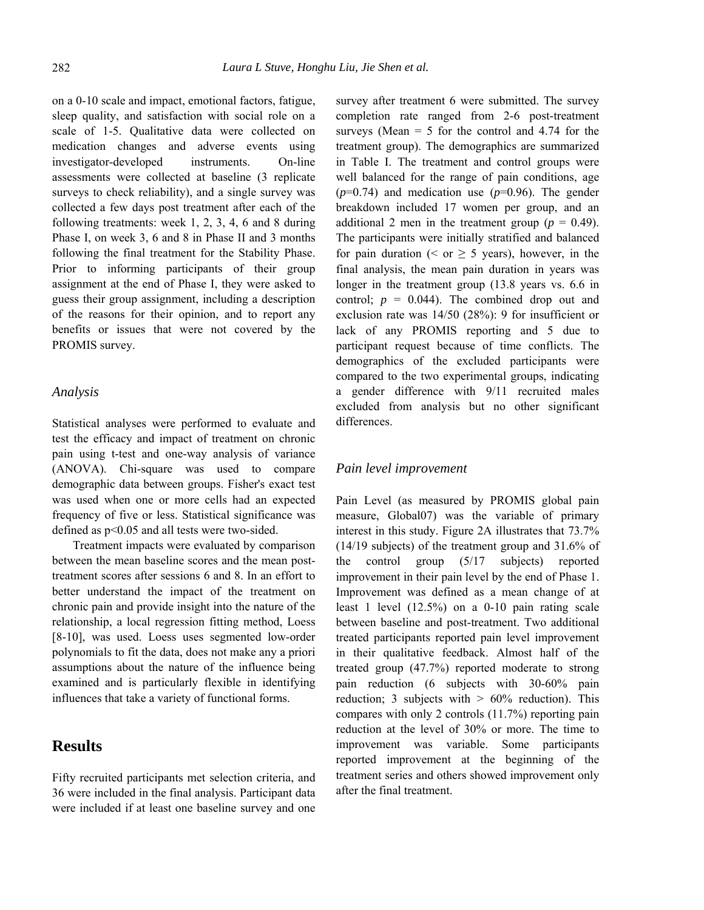on a 0-10 scale and impact, emotional factors, fatigue, sleep quality, and satisfaction with social role on a scale of 1-5. Qualitative data were collected on medication changes and adverse events using investigator-developed instruments. On-line assessments were collected at baseline (3 replicate surveys to check reliability), and a single survey was collected a few days post treatment after each of the following treatments: week 1, 2, 3, 4, 6 and 8 during Phase I, on week 3, 6 and 8 in Phase II and 3 months following the final treatment for the Stability Phase. Prior to informing participants of their group assignment at the end of Phase I, they were asked to guess their group assignment, including a description of the reasons for their opinion, and to report any benefits or issues that were not covered by the PROMIS survey.

#### *Analysis*

Statistical analyses were performed to evaluate and test the efficacy and impact of treatment on chronic pain using t-test and one-way analysis of variance (ANOVA). Chi-square was used to compare demographic data between groups. Fisher's exact test was used when one or more cells had an expected frequency of five or less. Statistical significance was defined as p<0.05 and all tests were two-sided.

Treatment impacts were evaluated by comparison between the mean baseline scores and the mean posttreatment scores after sessions 6 and 8. In an effort to better understand the impact of the treatment on chronic pain and provide insight into the nature of the relationship, a local regression fitting method, Loess [8-10], was used. Loess uses segmented low-order polynomials to fit the data, does not make any a priori assumptions about the nature of the influence being examined and is particularly flexible in identifying influences that take a variety of functional forms.

### **Results**

Fifty recruited participants met selection criteria, and 36 were included in the final analysis. Participant data were included if at least one baseline survey and one

survey after treatment 6 were submitted. The survey completion rate ranged from 2-6 post-treatment surveys (Mean  $=$  5 for the control and 4.74 for the treatment group). The demographics are summarized in Table I. The treatment and control groups were well balanced for the range of pain conditions, age  $(p=0.74)$  and medication use  $(p=0.96)$ . The gender breakdown included 17 women per group, and an additional 2 men in the treatment group ( $p = 0.49$ ). The participants were initially stratified and balanced for pain duration ( $\leq$  or  $\geq$  5 years), however, in the final analysis, the mean pain duration in years was longer in the treatment group (13.8 years vs. 6.6 in control;  $p = 0.044$ ). The combined drop out and exclusion rate was 14/50 (28%): 9 for insufficient or lack of any PROMIS reporting and 5 due to participant request because of time conflicts. The demographics of the excluded participants were compared to the two experimental groups, indicating a gender difference with 9/11 recruited males excluded from analysis but no other significant differences.

#### *Pain level improvement*

Pain Level (as measured by PROMIS global pain measure, Global07) was the variable of primary interest in this study. Figure 2A illustrates that 73.7% (14/19 subjects) of the treatment group and 31.6% of the control group (5/17 subjects) reported improvement in their pain level by the end of Phase 1. Improvement was defined as a mean change of at least 1 level (12.5%) on a 0-10 pain rating scale between baseline and post-treatment. Two additional treated participants reported pain level improvement in their qualitative feedback. Almost half of the treated group (47.7%) reported moderate to strong pain reduction (6 subjects with 30-60% pain reduction; 3 subjects with  $> 60\%$  reduction). This compares with only 2 controls (11.7%) reporting pain reduction at the level of 30% or more. The time to improvement was variable. Some participants reported improvement at the beginning of the treatment series and others showed improvement only after the final treatment.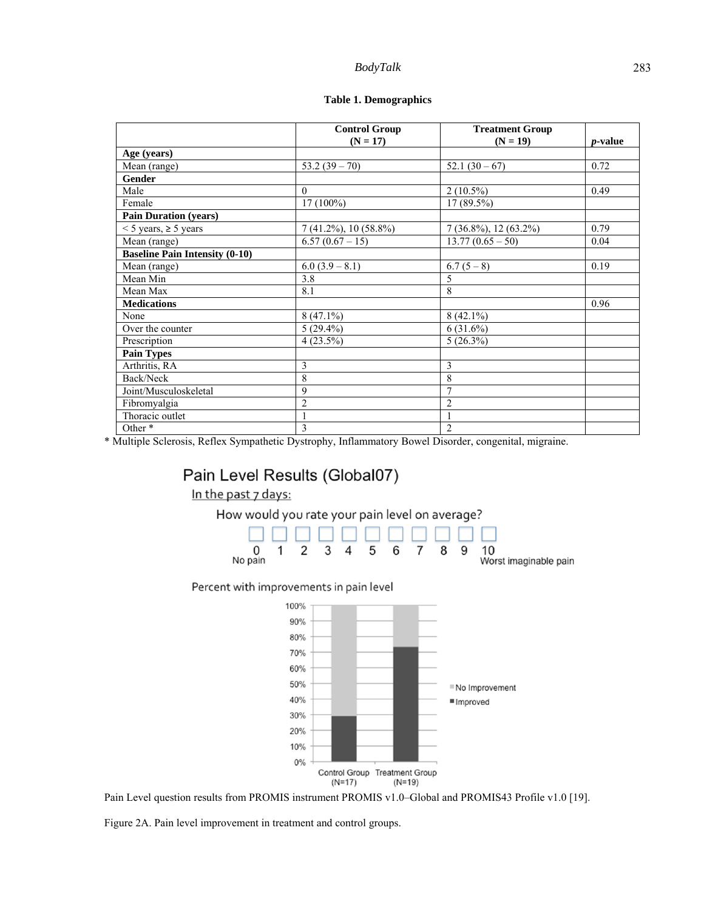#### *BodyTalk* 283

|                                       | <b>Control Group</b>        | <b>Treatment Group</b>      |                 |
|---------------------------------------|-----------------------------|-----------------------------|-----------------|
|                                       | $(N = 17)$                  | $(N = 19)$                  | <i>p</i> -value |
| Age (years)                           |                             |                             |                 |
| Mean (range)                          | $53.2(39 - 70)$             | $52.1(30-67)$               | 0.72            |
| <b>Gender</b>                         |                             |                             |                 |
| Male                                  | $\Omega$                    | $2(10.5\%)$                 | 0.49            |
| Female                                | 17 (100%)                   | $17(89.5\%)$                |                 |
| <b>Pain Duration (years)</b>          |                             |                             |                 |
| $<$ 5 years, $\geq$ 5 years           | $7(41.2\%)$ , 10 $(58.8\%)$ | $7(36.8\%)$ , 12 $(63.2\%)$ | 0.79            |
| Mean (range)                          | $6.57(0.67-15)$             | $13.77(0.65 - 50)$          | 0.04            |
| <b>Baseline Pain Intensity (0-10)</b> |                             |                             |                 |
| Mean (range)                          | $6.0 (3.9 - 8.1)$           | $6.7(5-8)$                  | 0.19            |
| Mean Min                              | 3.8                         | 5                           |                 |
| Mean Max                              | 8.1                         | 8                           |                 |
| <b>Medications</b>                    |                             |                             | 0.96            |
| None                                  | $8(47.1\%)$                 | $8(42.1\%)$                 |                 |
| Over the counter                      | $5(29.4\%)$                 | 6(31.6%)                    |                 |
| Prescription                          | $4(23.5\%)$                 | $5(26.3\%)$                 |                 |
| <b>Pain Types</b>                     |                             |                             |                 |
| Arthritis, RA                         | 3                           | 3                           |                 |
| Back/Neck                             | 8                           | 8                           |                 |
| Joint/Musculoskeletal                 | 9                           | $\overline{7}$              |                 |
| Fibromyalgia                          | $\overline{2}$              | $\overline{2}$              |                 |
| Thoracic outlet                       | 1                           | $\mathbf{1}$                |                 |
| Other <sup>*</sup>                    | 3                           | $\overline{c}$              |                 |

\* Multiple Sclerosis, Reflex Sympathetic Dystrophy, Inflammatory Bowel Disorder, congenital, migraine.

## Pain Level Results (Global07)





#### Percent with improvements in pain level



Pain Level question results from PROMIS instrument PROMIS v1.0-Global and PROMIS43 Profile v1.0 [19].

Figure 2A. Pain level improvement in treatment and control groups.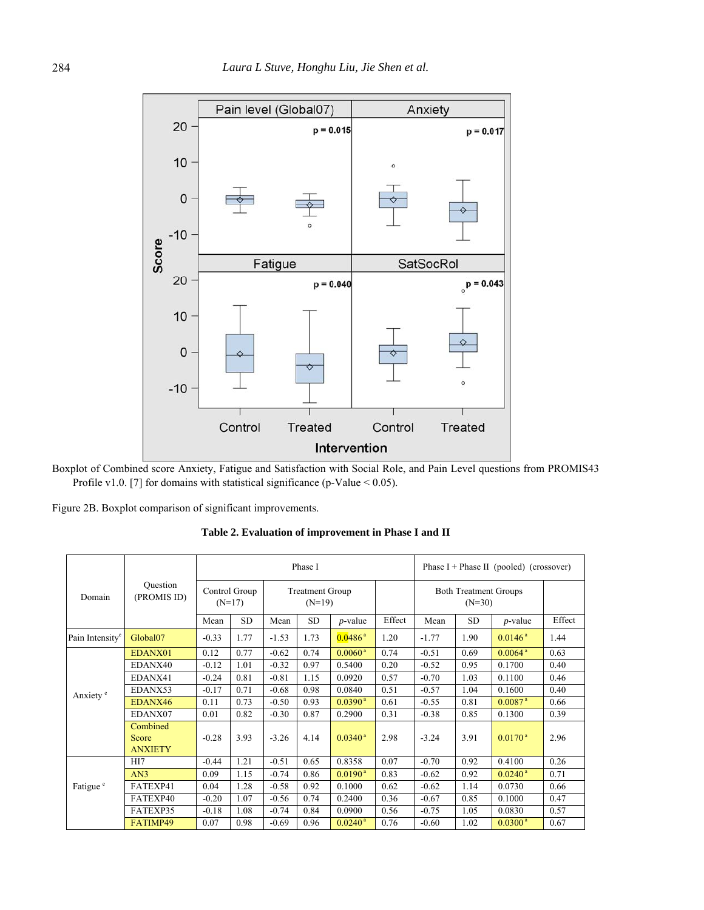

Boxplot of Combined score Anxiety, Fatigue and Satisfaction with Social Role, and Pain Level questions from PROMIS43 Profile v1.0. [7] for domains with statistical significance (p-Value < 0.05).

Figure 2B. Boxplot comparison of significant improvements.

**Table 2. Evaluation of improvement in Phase I and II** 

| Domain                      | Ouestion<br>(PROMIS ID)             |                           |           |                                    | Phase I   | Phase $I + Phase II$ (pooled) (crossover) |        |                                          |           |                       |        |
|-----------------------------|-------------------------------------|---------------------------|-----------|------------------------------------|-----------|-------------------------------------------|--------|------------------------------------------|-----------|-----------------------|--------|
|                             |                                     | Control Group<br>$(N=17)$ |           | <b>Treatment Group</b><br>$(N=19)$ |           |                                           |        | <b>Both Treatment Groups</b><br>$(N=30)$ |           |                       |        |
|                             |                                     | Mean                      | <b>SD</b> | Mean                               | <b>SD</b> | $p$ -value                                | Effect | Mean                                     | <b>SD</b> | $p$ -value            | Effect |
| Pain Intensity <sup>e</sup> | Global <sub>07</sub>                | $-0.33$                   | 1.77      | $-1.53$                            | 1.73      | $0.0486^{\text{a}}$                       | 1.20   | $-1.77$                                  | 1.90      | $0.0146^{\text{a}}$   | 1.44   |
| Anxiety <sup>e</sup>        | EDANX01                             | 0.12                      | 0.77      | $-0.62$                            | 0.74      | $0.0060^{\text{ a}}$                      | 0.74   | $-0.51$                                  | 0.69      | $0.0064$ <sup>a</sup> | 0.63   |
|                             | EDANX40                             | $-0.12$                   | 1.01      | $-0.32$                            | 0.97      | 0.5400                                    | 0.20   | $-0.52$                                  | 0.95      | 0.1700                | 0.40   |
|                             | EDANX41                             | $-0.24$                   | 0.81      | $-0.81$                            | 1.15      | 0.0920                                    | 0.57   | $-0.70$                                  | 1.03      | 0.1100                | 0.46   |
|                             | EDANX53                             | $-0.17$                   | 0.71      | $-0.68$                            | 0.98      | 0.0840                                    | 0.51   | $-0.57$                                  | 1.04      | 0.1600                | 0.40   |
|                             | EDANX46                             | 0.11                      | 0.73      | $-0.50$                            | 0.93      | $0.0390^{\text{ a}}$                      | 0.61   | $-0.55$                                  | 0.81      | $0.0087$ <sup>a</sup> | 0.66   |
|                             | EDANX07                             | 0.01                      | 0.82      | $-0.30$                            | 0.87      | 0.2900                                    | 0.31   | $-0.38$                                  | 0.85      | 0.1300                | 0.39   |
|                             | Combined<br>Score<br><b>ANXIETY</b> | $-0.28$                   | 3.93      | $-3.26$                            | 4.14      | $0.0340^{\text{ a}}$                      | 2.98   | $-3.24$                                  | 3.91      | $0.0170^{\text{a}}$   | 2.96   |
| Fatigue <sup>e</sup>        | H <sub>I7</sub>                     | $-0.44$                   | 1.21      | $-0.51$                            | 0.65      | 0.8358                                    | 0.07   | $-0.70$                                  | 0.92      | 0.4100                | 0.26   |
|                             | AN3                                 | 0.09                      | 1.15      | $-0.74$                            | 0.86      | $0.0190^{\text{a}}$                       | 0.83   | $-0.62$                                  | 0.92      | $0.0240^{\text{a}}$   | 0.71   |
|                             | FATEXP41                            | 0.04                      | 1.28      | $-0.58$                            | 0.92      | 0.1000                                    | 0.62   | $-0.62$                                  | 1.14      | 0.0730                | 0.66   |
|                             | FATEXP40                            | $-0.20$                   | 1.07      | $-0.56$                            | 0.74      | 0.2400                                    | 0.36   | $-0.67$                                  | 0.85      | 0.1000                | 0.47   |
|                             | FATEXP35                            | $-0.18$                   | 1.08      | $-0.74$                            | 0.84      | 0.0900                                    | 0.56   | $-0.75$                                  | 1.05      | 0.0830                | 0.57   |
|                             | FATIMP49                            | 0.07                      | 0.98      | $-0.69$                            | 0.96      | $0.0240^{\text{ a}}$                      | 0.76   | $-0.60$                                  | 1.02      | $0.0300^{\text{a}}$   | 0.67   |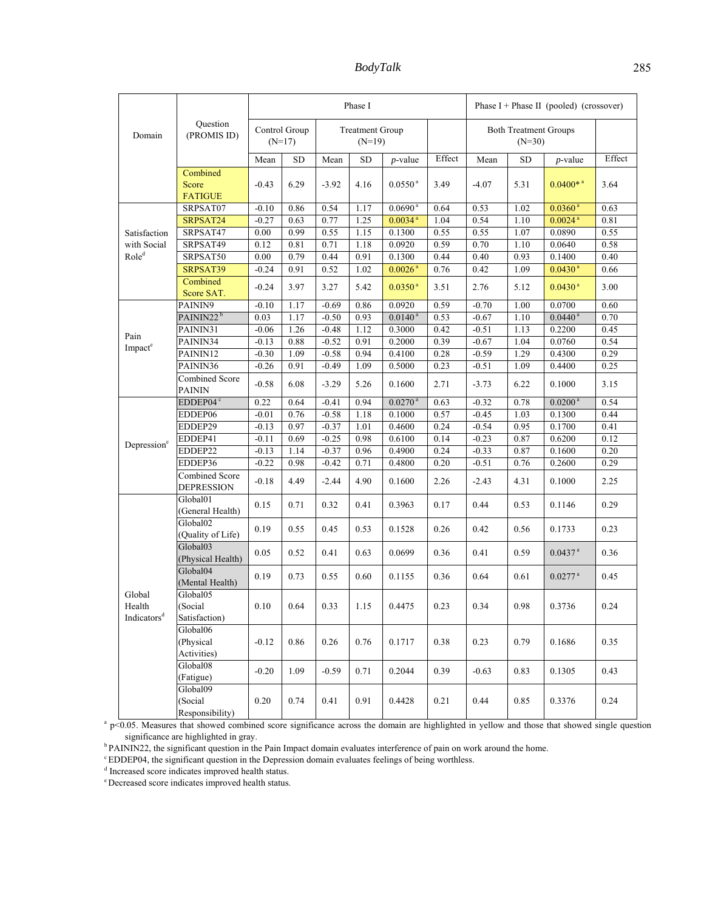*BodyTalk* 285

|                                             |                                              | Phase I                   |           |                                    |           |                       |        | Phase $I + Phase II$ (pooled) (crossover) |           |                        |          |
|---------------------------------------------|----------------------------------------------|---------------------------|-----------|------------------------------------|-----------|-----------------------|--------|-------------------------------------------|-----------|------------------------|----------|
| Domain                                      | Question<br>(PROMIS ID)                      | Control Group<br>$(N=17)$ |           | <b>Treatment Group</b><br>$(N=19)$ |           |                       |        | <b>Both Treatment Groups</b><br>$(N=30)$  |           |                        |          |
|                                             |                                              | Mean                      | <b>SD</b> | Mean                               | <b>SD</b> | <i>p</i> -value       | Effect | Mean                                      | <b>SD</b> | $p$ -value             | Effect   |
|                                             | Combined<br>Score<br><b>FATIGUE</b>          | $-0.43$                   | 6.29      | $-3.92$                            | 4.16      | $0.0550$ $^{\rm a}$   | 3.49   | $-4.07$                                   | 5.31      | $0.0400*$ <sup>a</sup> | 3.64     |
|                                             | SRPSAT07                                     | $-0.10$                   | 0.86      | 0.54                               | 1.17      | 0.0690 <sup>a</sup>   | 0.64   | 0.53                                      | 1.02      | $0.0360^{\text{ a}}$   | 0.63     |
|                                             | SRPSAT24                                     | $-0.27$                   | 0.63      | 0.77                               | 1.25      | $0.0034$ <sup>a</sup> | 1.04   | 0.54                                      | 1.10      | $0.0024$ <sup>a</sup>  | 0.81     |
| Satisfaction                                | SRPSAT47                                     | 0.00                      | 0.99      | 0.55                               | 1.15      | 0.1300                | 0.55   | 0.55                                      | 1.07      | 0.0890                 | 0.55     |
| with Social                                 | SRPSAT49                                     | 0.12                      | 0.81      | 0.71                               | 1.18      | 0.0920                | 0.59   | 0.70                                      | 1.10      | 0.0640                 | 0.58     |
| Role <sup>d</sup>                           | SRPSAT50                                     | 0.00                      | 0.79      | 0.44                               | 0.91      | 0.1300                | 0.44   | 0.40                                      | 0.93      | 0.1400                 | 0.40     |
|                                             | SRPSAT39                                     | $-0.24$                   | 0.91      | 0.52                               | 1.02      | $0.0026$ <sup>a</sup> | 0.76   | 0.42                                      | 1.09      | $0.0430$ <sup>a</sup>  | 0.66     |
|                                             | Combined<br>Score SAT.                       | $-0.24$                   | 3.97      | 3.27                               | 5.42      | $0.0350$ <sup>a</sup> | 3.51   | 2.76                                      | 5.12      | $0.0430$ <sup>a</sup>  | 3.00     |
|                                             | PAININ9                                      | $-0.10$                   | 1.17      | $-0.69$                            | 0.86      | 0.0920                | 0.59   | $-0.70$                                   | 1.00      | 0.0700                 | 0.60     |
|                                             | PAININ22 <sup>b</sup>                        | 0.03                      | 1.17      | $-0.50$                            | 0.93      | $0.0140^{\text{a}}$   | 0.53   | $-0.67$                                   | 1.10      | $0.0440^{\text{ a}}$   | 0.70     |
| Pain                                        | PAININ31                                     | $-0.06$                   | 1.26      | $-0.48$                            | 1.12      | 0.3000                | 0.42   | $-0.51$                                   | 1.13      | 0.2200                 | 0.45     |
| Impact <sup>e</sup>                         | PAININ34                                     | $-0.13$                   | 0.88      | $-0.52$                            | 0.91      | 0.2000                | 0.39   | $-0.67$                                   | 1.04      | 0.0760                 | 0.54     |
|                                             | PAININ12                                     | $-0.30$                   | 1.09      | $-0.58$                            | 0.94      | 0.4100                | 0.28   | $-0.59$                                   | 1.29      | 0.4300                 | 0.29     |
|                                             | PAININ36                                     | $-0.26$                   | 0.91      | $-0.49$                            | 1.09      | 0.5000                | 0.23   | $-0.51$                                   | 1.09      | 0.4400                 | 0.25     |
|                                             | Combined Score<br><b>PAININ</b>              | $-0.58$                   | 6.08      | $-3.29$                            | 5.26      | 0.1600                | 2.71   | $-3.73$                                   | 6.22      | 0.1000                 | 3.15     |
|                                             | EDDEP04 <sup>c</sup>                         | 0.22                      | 0.64      | $-0.41$                            | 0.94      | $0.0270^{\text{ a}}$  | 0.63   | $-0.32$                                   | 0.78      | 0.0200 <sup>a</sup>    | 0.54     |
|                                             | EDDEP06                                      | $-0.01$                   | 0.76      | $-0.58$                            | 1.18      | 0.1000                | 0.57   | $-0.45$                                   | 1.03      | 0.1300                 | 0.44     |
|                                             | EDDEP29                                      | $-0.13$                   | 0.97      | $-0.37$                            | 1.01      | 0.4600                | 0.24   | $-0.54$                                   | 0.95      | 0.1700                 | 0.41     |
|                                             | EDDEP41                                      | $-0.11$                   | 0.69      | $-0.25$                            | 0.98      | 0.6100                | 0.14   | $-0.23$                                   | 0.87      | 0.6200                 | 0.12     |
| Depression <sup>e</sup>                     | EDDEP22                                      | $-0.13$                   | 1.14      | $-0.37$                            | 0.96      | 0.4900                | 0.24   | $-0.33$                                   | 0.87      | 0.1600                 | $0.20\,$ |
|                                             | EDDEP36                                      | $-0.22$                   | 0.98      | $-0.42$                            | 0.71      | 0.4800                | 0.20   | $-0.51$                                   | 0.76      | 0.2600                 | 0.29     |
|                                             | Combined Score<br><b>DEPRESSION</b>          | $-0.18$                   | 4.49      | $-2.44$                            | 4.90      | 0.1600                | 2.26   | $-2.43$                                   | 4.31      | 0.1000                 | 2.25     |
| Global<br>Health<br>Indicators <sup>d</sup> | Global01<br>(General Health)                 | 0.15                      | 0.71      | 0.32                               | 0.41      | 0.3963                | 0.17   | 0.44                                      | 0.53      | 0.1146                 | 0.29     |
|                                             | Global <sub>02</sub><br>(Quality of Life)    | 0.19                      | 0.55      | 0.45                               | 0.53      | 0.1528                | 0.26   | 0.42                                      | 0.56      | 0.1733                 | 0.23     |
|                                             | Global03<br>(Physical Health)                | 0.05                      | 0.52      | 0.41                               | 0.63      | 0.0699                | 0.36   | 0.41                                      | 0.59      | $0.0437$ <sup>a</sup>  | 0.36     |
|                                             | Global04<br>(Mental Health)                  | 0.19                      | 0.73      | 0.55                               | 0.60      | 0.1155                | 0.36   | 0.64                                      | 0.61      | $0.0277$ <sup>a</sup>  | 0.45     |
|                                             | Global05<br>(Social<br>Satisfaction)         | 0.10                      | 0.64      | 0.33                               | 1.15      | 0.4475                | 0.23   | 0.34                                      | 0.98      | 0.3736                 | 0.24     |
|                                             | Global06<br>(Physical<br><b>Activities</b> ) | $-0.12$                   | 0.86      | 0.26                               | 0.76      | 0.1717                | 0.38   | 0.23                                      | 0.79      | 0.1686                 | 0.35     |
|                                             | Global08<br>(Fatigue)                        | $-0.20$                   | 1.09      | $-0.59$                            | 0.71      | 0.2044                | 0.39   | $-0.63$                                   | 0.83      | 0.1305                 | 0.43     |
|                                             | Global09<br>(Social<br>Responsibility)       | 0.20                      | 0.74      | 0.41                               | 0.91      | 0.4428                | 0.21   | 0.44                                      | 0.85      | 0.3376                 | 0.24     |

 $\alpha$  p<0.05. Measures that showed combined score significance across the domain are highlighted in yellow and those that showed single question significance are highlighted in gray.<br><sup>b</sup> PAININ22, the significant question in the Pain Impact domain evaluates interference of pain on work around the home.<br><sup>c</sup> EDDEP04, the significant question in the Depression domain

<sup>d</sup> Increased score indicates improved health status.

e Decreased score indicates improved health status.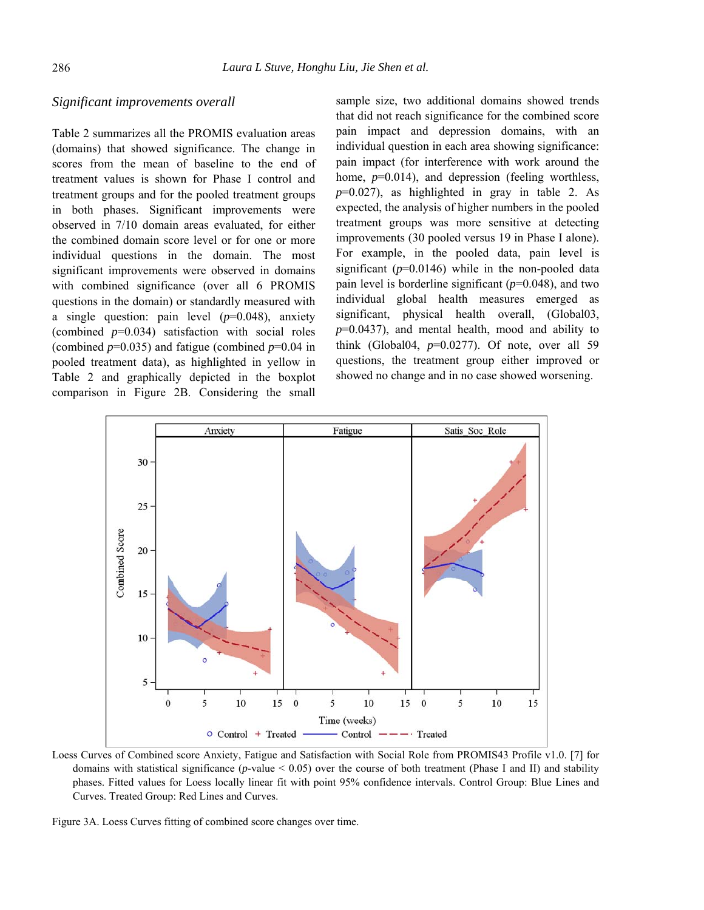#### *Significant improvements overall*

Table 2 summarizes all the PROMIS evaluation areas (domains) that showed significance. The change in scores from the mean of baseline to the end of treatment values is shown for Phase I control and treatment groups and for the pooled treatment groups in both phases. Significant improvements were observed in 7/10 domain areas evaluated, for either the combined domain score level or for one or more individual questions in the domain. The most significant improvements were observed in domains with combined significance (over all 6 PROMIS questions in the domain) or standardly measured with a single question: pain level (*p*=0.048), anxiety (combined *p*=0.034) satisfaction with social roles (combined  $p=0.035$ ) and fatigue (combined  $p=0.04$  in pooled treatment data), as highlighted in yellow in Table 2 and graphically depicted in the boxplot comparison in Figure 2B. Considering the small sample size, two additional domains showed trends that did not reach significance for the combined score pain impact and depression domains, with an individual question in each area showing significance: pain impact (for interference with work around the home,  $p=0.014$ ), and depression (feeling worthless,  $p=0.027$ ), as highlighted in gray in table 2. As expected, the analysis of higher numbers in the pooled treatment groups was more sensitive at detecting improvements (30 pooled versus 19 in Phase I alone). For example, in the pooled data, pain level is significant  $(p=0.0146)$  while in the non-pooled data pain level is borderline significant (*p*=0.048), and two individual global health measures emerged as significant, physical health overall, (Global03, *p*=0.0437), and mental health, mood and ability to think (Global04,  $p=0.0277$ ). Of note, over all 59 questions, the treatment group either improved or showed no change and in no case showed worsening.



Loess Curves of Combined score Anxiety, Fatigue and Satisfaction with Social Role from PROMIS43 Profile v1.0. [7] for domains with statistical significance (*p*-value < 0.05) over the course of both treatment (Phase I and II) and stability phases. Fitted values for Loess locally linear fit with point 95% confidence intervals. Control Group: Blue Lines and Curves. Treated Group: Red Lines and Curves.

Figure 3A. Loess Curves fitting of combined score changes over time.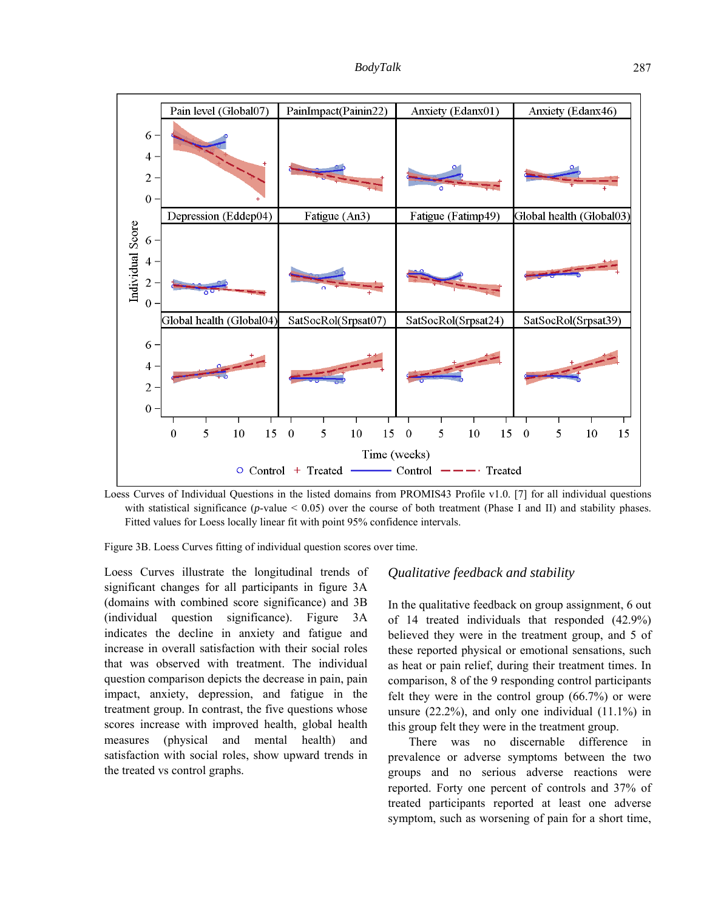*BodyTalk* 287



Loess Curves of Individual Questions in the listed domains from PROMIS43 Profile v1.0. [7] for all individual questions with statistical significance ( $p$ -value  $< 0.05$ ) over the course of both treatment (Phase I and II) and stability phases. Fitted values for Loess locally linear fit with point 95% confidence intervals.

Figure 3B. Loess Curves fitting of individual question scores over time.

Loess Curves illustrate the longitudinal trends of significant changes for all participants in figure 3A (domains with combined score significance) and 3B (individual question significance). Figure 3A indicates the decline in anxiety and fatigue and increase in overall satisfaction with their social roles that was observed with treatment. The individual question comparison depicts the decrease in pain, pain impact, anxiety, depression, and fatigue in the treatment group. In contrast, the five questions whose scores increase with improved health, global health measures (physical and mental health) and satisfaction with social roles, show upward trends in the treated vs control graphs.

#### *Qualitative feedback and stability*

In the qualitative feedback on group assignment, 6 out of 14 treated individuals that responded (42.9%) believed they were in the treatment group, and 5 of these reported physical or emotional sensations, such as heat or pain relief, during their treatment times. In comparison, 8 of the 9 responding control participants felt they were in the control group (66.7%) or were unsure  $(22.2\%)$ , and only one individual  $(11.1\%)$  in this group felt they were in the treatment group.

There was no discernable difference in prevalence or adverse symptoms between the two groups and no serious adverse reactions were reported. Forty one percent of controls and 37% of treated participants reported at least one adverse symptom, such as worsening of pain for a short time,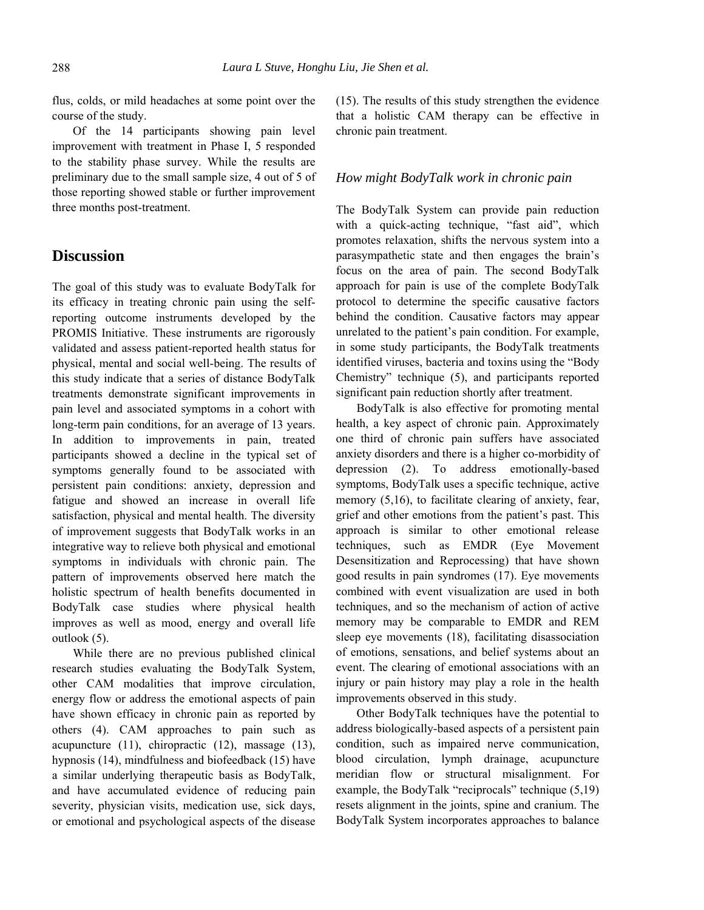flus, colds, or mild headaches at some point over the course of the study.

Of the 14 participants showing pain level improvement with treatment in Phase I, 5 responded to the stability phase survey. While the results are preliminary due to the small sample size, 4 out of 5 of those reporting showed stable or further improvement three months post-treatment.

### **Discussion**

The goal of this study was to evaluate BodyTalk for its efficacy in treating chronic pain using the selfreporting outcome instruments developed by the PROMIS Initiative. These instruments are rigorously validated and assess patient-reported health status for physical, mental and social well-being. The results of this study indicate that a series of distance BodyTalk treatments demonstrate significant improvements in pain level and associated symptoms in a cohort with long-term pain conditions, for an average of 13 years. In addition to improvements in pain, treated participants showed a decline in the typical set of symptoms generally found to be associated with persistent pain conditions: anxiety, depression and fatigue and showed an increase in overall life satisfaction, physical and mental health. The diversity of improvement suggests that BodyTalk works in an integrative way to relieve both physical and emotional symptoms in individuals with chronic pain. The pattern of improvements observed here match the holistic spectrum of health benefits documented in BodyTalk case studies where physical health improves as well as mood, energy and overall life outlook (5).

While there are no previous published clinical research studies evaluating the BodyTalk System, other CAM modalities that improve circulation, energy flow or address the emotional aspects of pain have shown efficacy in chronic pain as reported by others (4). CAM approaches to pain such as acupuncture (11), chiropractic (12), massage (13), hypnosis (14), mindfulness and biofeedback (15) have a similar underlying therapeutic basis as BodyTalk, and have accumulated evidence of reducing pain severity, physician visits, medication use, sick days, or emotional and psychological aspects of the disease (15). The results of this study strengthen the evidence that a holistic CAM therapy can be effective in chronic pain treatment.

#### *How might BodyTalk work in chronic pain*

The BodyTalk System can provide pain reduction with a quick-acting technique, "fast aid", which promotes relaxation, shifts the nervous system into a parasympathetic state and then engages the brain's focus on the area of pain. The second BodyTalk approach for pain is use of the complete BodyTalk protocol to determine the specific causative factors behind the condition. Causative factors may appear unrelated to the patient's pain condition. For example, in some study participants, the BodyTalk treatments identified viruses, bacteria and toxins using the "Body Chemistry" technique (5), and participants reported significant pain reduction shortly after treatment.

BodyTalk is also effective for promoting mental health, a key aspect of chronic pain. Approximately one third of chronic pain suffers have associated anxiety disorders and there is a higher co-morbidity of depression (2). To address emotionally-based symptoms, BodyTalk uses a specific technique, active memory  $(5,16)$ , to facilitate clearing of anxiety, fear, grief and other emotions from the patient's past. This approach is similar to other emotional release techniques, such as EMDR (Eye Movement Desensitization and Reprocessing) that have shown good results in pain syndromes (17). Eye movements combined with event visualization are used in both techniques, and so the mechanism of action of active memory may be comparable to EMDR and REM sleep eye movements (18), facilitating disassociation of emotions, sensations, and belief systems about an event. The clearing of emotional associations with an injury or pain history may play a role in the health improvements observed in this study.

Other BodyTalk techniques have the potential to address biologically-based aspects of a persistent pain condition, such as impaired nerve communication, blood circulation, lymph drainage, acupuncture meridian flow or structural misalignment. For example, the BodyTalk "reciprocals" technique (5,19) resets alignment in the joints, spine and cranium. The BodyTalk System incorporates approaches to balance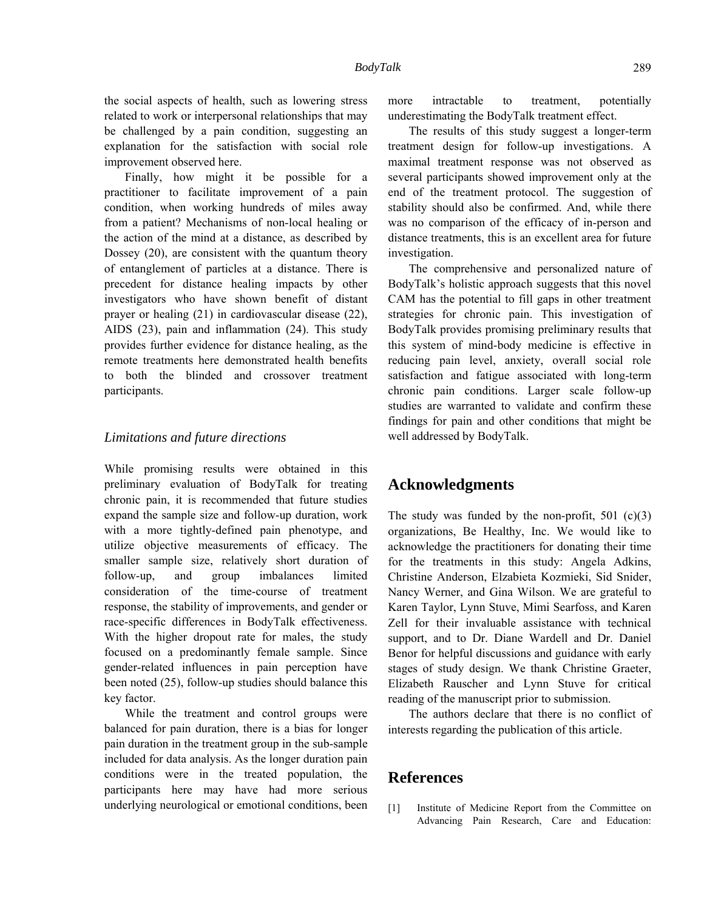Finally, how might it be possible for a practitioner to facilitate improvement of a pain condition, when working hundreds of miles away from a patient? Mechanisms of non-local healing or the action of the mind at a distance, as described by Dossey (20), are consistent with the quantum theory of entanglement of particles at a distance. There is precedent for distance healing impacts by other investigators who have shown benefit of distant prayer or healing (21) in cardiovascular disease (22), AIDS (23), pain and inflammation (24). This study provides further evidence for distance healing, as the remote treatments here demonstrated health benefits to both the blinded and crossover treatment participants.

#### *Limitations and future directions*

While promising results were obtained in this preliminary evaluation of BodyTalk for treating chronic pain, it is recommended that future studies expand the sample size and follow-up duration, work with a more tightly-defined pain phenotype, and utilize objective measurements of efficacy. The smaller sample size, relatively short duration of follow-up, and group imbalances limited consideration of the time-course of treatment response, the stability of improvements, and gender or race-specific differences in BodyTalk effectiveness. With the higher dropout rate for males, the study focused on a predominantly female sample. Since gender-related influences in pain perception have been noted (25), follow-up studies should balance this key factor.

While the treatment and control groups were balanced for pain duration, there is a bias for longer pain duration in the treatment group in the sub-sample included for data analysis. As the longer duration pain conditions were in the treated population, the participants here may have had more serious underlying neurological or emotional conditions, been more intractable to treatment, potentially underestimating the BodyTalk treatment effect.

The results of this study suggest a longer-term treatment design for follow-up investigations. A maximal treatment response was not observed as several participants showed improvement only at the end of the treatment protocol. The suggestion of stability should also be confirmed. And, while there was no comparison of the efficacy of in-person and distance treatments, this is an excellent area for future investigation.

The comprehensive and personalized nature of BodyTalk's holistic approach suggests that this novel CAM has the potential to fill gaps in other treatment strategies for chronic pain. This investigation of BodyTalk provides promising preliminary results that this system of mind-body medicine is effective in reducing pain level, anxiety, overall social role satisfaction and fatigue associated with long-term chronic pain conditions. Larger scale follow-up studies are warranted to validate and confirm these findings for pain and other conditions that might be well addressed by BodyTalk.

### **Acknowledgments**

The study was funded by the non-profit,  $501$  (c)(3) organizations, Be Healthy, Inc. We would like to acknowledge the practitioners for donating their time for the treatments in this study: Angela Adkins, Christine Anderson, Elzabieta Kozmieki, Sid Snider, Nancy Werner, and Gina Wilson. We are grateful to Karen Taylor, Lynn Stuve, Mimi Searfoss, and Karen Zell for their invaluable assistance with technical support, and to Dr. Diane Wardell and Dr. Daniel Benor for helpful discussions and guidance with early stages of study design. We thank Christine Graeter, Elizabeth Rauscher and Lynn Stuve for critical reading of the manuscript prior to submission.

The authors declare that there is no conflict of interests regarding the publication of this article.

### **References**

[1] Institute of Medicine Report from the Committee on Advancing Pain Research, Care and Education: